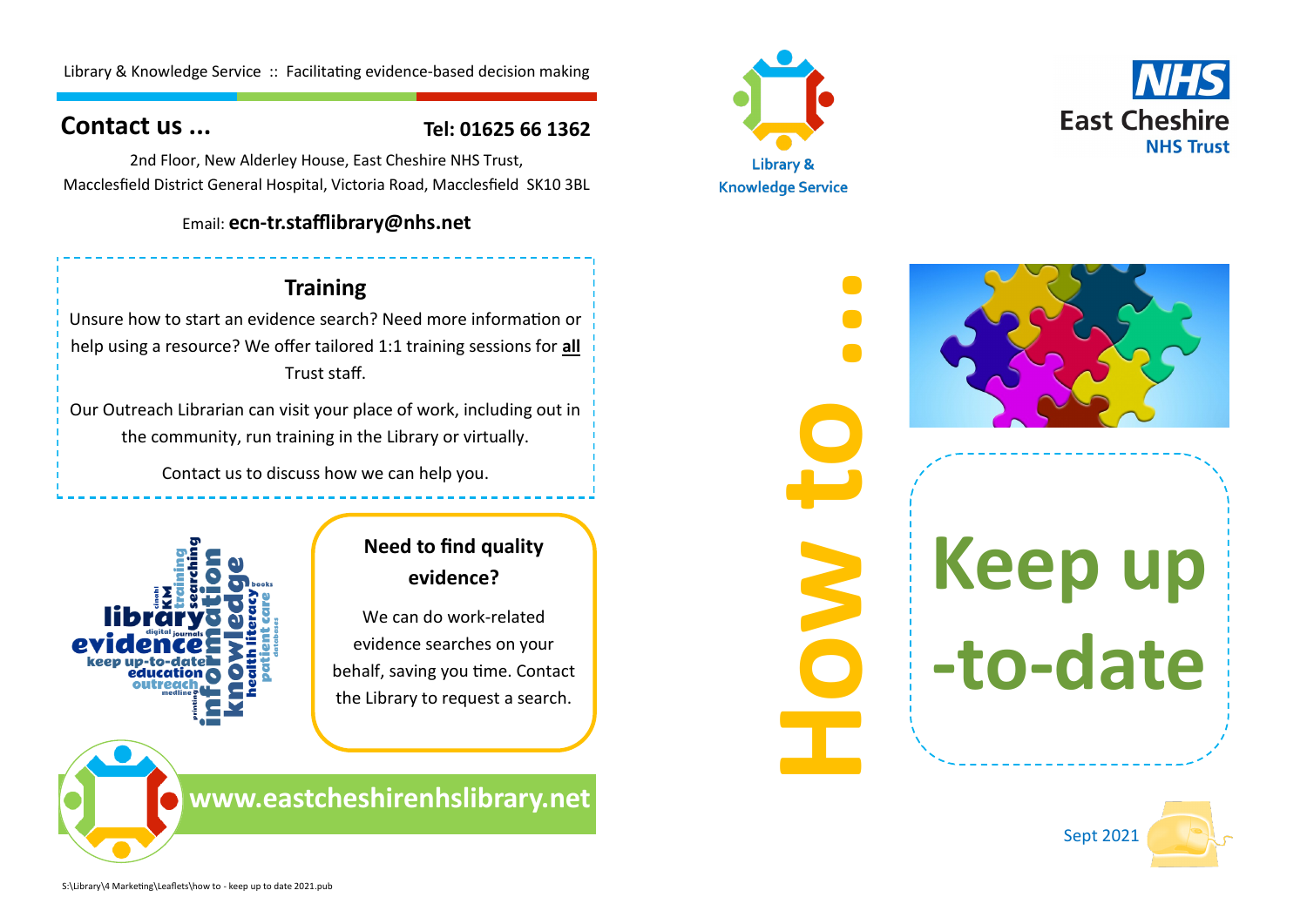Library & Knowledge Service :: Facilitating evidence-based decision making

## **Contact us ...**

## **Tel: 01625 66 1362**

2nd Floor, New Alderley House, East Cheshire NHS Trust, Macclesfield District General Hospital, Victoria Road, Macclesfield SK10 3BL

### Email: **ecn-tr.stafflibrary@nhs.net**

**Training** Unsure how to start an evidence search? Need more information or help using a resource? We offer tailored 1:1 training sessions for **all**  Trust staff.

Our Outreach Librarian can visit your place of work, including out in the community, run training in the Library or virtually.

Contact us to discuss how we can help you.



# **Need to find quality evidence?**

We can do work-related evidence searches on your behalf, saving you time. Contact the Library to request a search.

**www.eastcheshirenhslibrary.net**